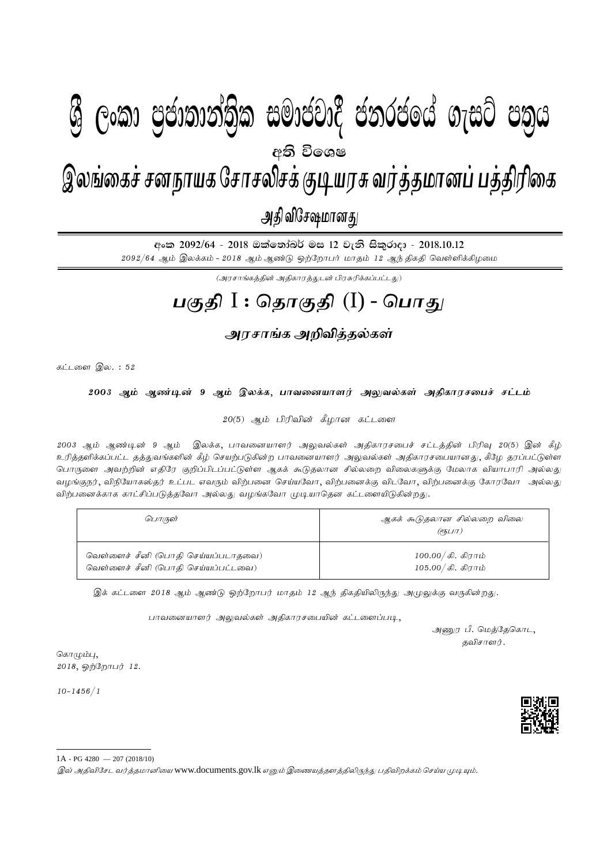## $\mathbf{A} \quad \mathbf{A} \quad \mathbf{A} \quad \mathbf{A} \quad \mathbf{A} \quad \mathbf{A} \quad \mathbf{A} \quad \mathbf{A} \quad \mathbf{A} \quad \mathbf{A} \quad \mathbf{A} \quad \mathbf{A} \quad \mathbf{A} \quad \mathbf{A} \quad \mathbf{A} \quad \mathbf{A} \quad \mathbf{A} \quad \mathbf{A} \quad \mathbf{A} \quad \mathbf{A} \quad \mathbf{A} \quad \mathbf{A} \quad \mathbf{A} \quad \mathbf{A} \quad \mathbf{A} \quad \mathbf{A} \quad \mathbf{A} \quad \mathbf{$  $\epsilon$   $\approx$   $\epsilon$   $\approx$   $\epsilon$   $\approx$   $\epsilon$   $\approx$   $\epsilon$   $\approx$   $\epsilon$   $\approx$   $\epsilon$   $\approx$   $\epsilon$   $\approx$   $\epsilon$   $\approx$   $\epsilon$   $\approx$   $\epsilon$   $\approx$   $\epsilon$   $\approx$   $\epsilon$   $\approx$   $\epsilon$   $\approx$   $\epsilon$   $\approx$   $\epsilon$   $\approx$   $\epsilon$   $\approx$   $\epsilon$   $\approx$   $\epsilon$   $\approx$   $\epsilon$   $\approx$   $\epsilon$   $\approx$   $\epsilon$   $\approx$  இலங்கைச் சனநாயக சோசலிசக் குடியரசு வர்த்தமானப் பத்திரிகை அதி விசேஷமானது  $\mathcal{B}$  George Constanting)ක සමාප්තාර ප්නාර්ථිකය ගැසර පතිය අති වි**ං**ශෂ

<u> අංක 2092/64 - 2018 ඔක්තෝබර් මස 12 වැනි සිකුරාදා - 2018.10.12</u>  $2092/64$  ஆம் இலக்கம் -  $2018$  ஆம் ஆண்டு ஒற்றோபர் மாதம் 12 ஆந் திகதி வெள்ளிக்கிழமை

 $(\mathcal{A}^{\text{unif}}(\mathcal{A}^{\text{unif}}), \mathcal{A}^{\text{unif}}(\mathcal{A}^{\text{unif}}), \mathcal{A}^{\text{unif}})$  ; and  $\mathcal{A}^{\text{unif}}(\mathcal{A}^{\text{unif}})$  ; can in the set of  $\mathcal{A}^{\text{unif}}(\mathcal{A}^{\text{unif}})$ 

## **gFjp** I : **njhFjp** (I) - **nghJ**

## <u>அரசாங்க அறிவித்தல்கள்</u>

கட்டளை இல $i: 52$ 

2003 ஆம் ஆண்டின் 9 ஆம் இலக்க, பாவனையாளர் அலுவல்கள் அ**திகாரசபைச் சட்ட**ம்

 $20(5)$  ஆம் பிரிவின் கீழான கட்டளை

2003 ஆம் ஆண்டின் 9 ஆம் இலக்க, பாவனையாளர் அலுவல்கள் அதிகாரசபைச் சட்டத்தின் பிரிவு 20(5) இன் கீழ் உரித்தளிக்கப்பட்ட தத்துவங்களின் கீழ் செயற்படுகின்ற பாவனையாளர் அலுவல்கள் அதிகாரசபையானது, கீழே தரப்பட்டுள்ள பொருளை அவற்றின் எதிரே குறிப்பிடப்பட்டுள்ள ஆகக் கூடுதலான சில்லறை விலைகளுக்கு மேலாக வியாபாரி அல்லது வழங்குநர், விநியோகஸ்தர் உட்பட எவரும் விற்பனை செய்யவோ, விற்பனைக்கு விடவோ, விற்பனைக்கு கோரவோ அல்லது விற்பனைக்காக காட்சிப்படுத்தவோ அல்லது வழங்கவோ முடியாதென கட்டளையிடுகின்றது.

| பொருள்                             | ஆகக் கூடுதலான சில்லறை விலை<br>(95L/T) |
|------------------------------------|---------------------------------------|
| வெள்ளைச் சீனி (பொதி செய்யப்படாதவை) | $100.00 /$ கி.  கிராம்                |
| வெள்ளைச் சீனி (பொதி செய்யப்பட்டவை) | $105.00 /$ கி. கிராம்                 |

இக் கட்டளை 2018 ஆம் ஆண்டு ஒற்றோபர் மாதம் 12 ஆந் திகதியிலிருந்து அமுலுக்கு வருகின்றது.

பாவனையாளர் அலுவல்கள் அகிகாரசபையின் கட்டளைப்படி

அணுர $\int$  பி. மெத்தேகொட $\mathcal{L},$ தவிசாளர்.

கொழும்பு $,$  $2018,$   $\omega$  $\frac{1}{2}$ .

10-1456/ 1



இவ் அதிவிசேட வர்த்தமானியை www.documents.gov.lk எனும் இணையத்தளத்திலிருந்து பதிவிறக்கம் செய்ய முடியும்.

<sup>1</sup>A - PG 4280 — 207 (2018/10)